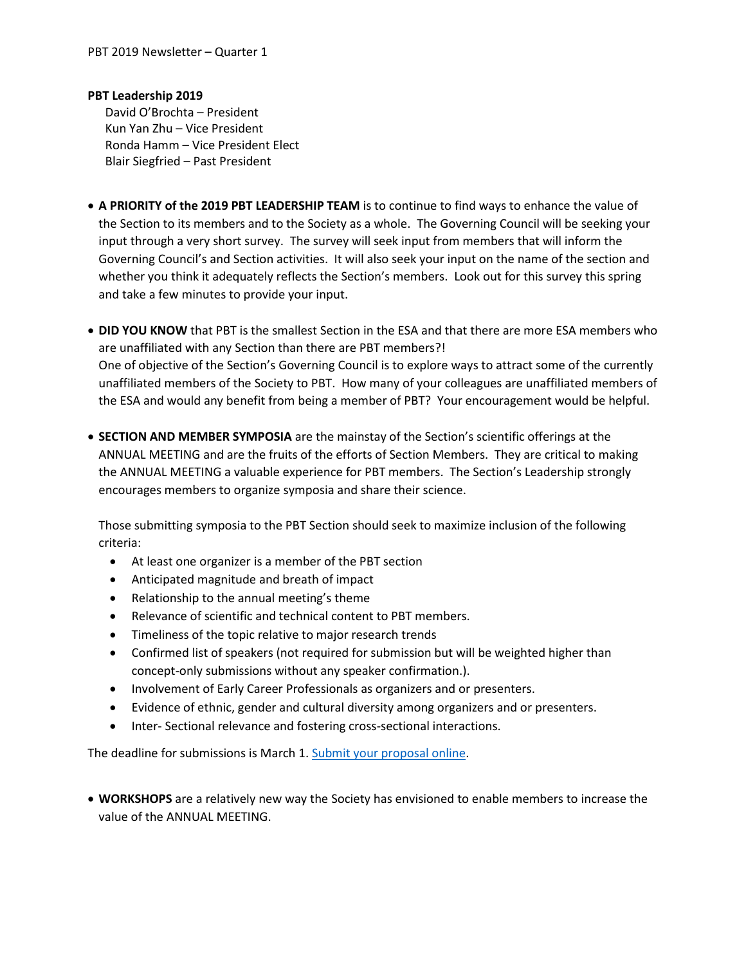## **PBT Leadership 2019**

David O'Brochta – President Kun Yan Zhu – Vice President Ronda Hamm – Vice President Elect Blair Siegfried – Past President

- **A PRIORITY of the 2019 PBT LEADERSHIP TEAM** is to continue to find ways to enhance the value of the Section to its members and to the Society as a whole. The Governing Council will be seeking your input through a very short survey. The survey will seek input from members that will inform the Governing Council's and Section activities. It will also seek your input on the name of the section and whether you think it adequately reflects the Section's members. Look out for this survey this spring and take a few minutes to provide your input.
- **DID YOU KNOW** that PBT is the smallest Section in the ESA and that there are more ESA members who are unaffiliated with any Section than there are PBT members?! One of objective of the Section's Governing Council is to explore ways to attract some of the currently unaffiliated members of the Society to PBT. How many of your colleagues are unaffiliated members of the ESA and would any benefit from being a member of PBT? Your encouragement would be helpful.
- **SECTION AND MEMBER SYMPOSIA** are the mainstay of the Section's scientific offerings at the ANNUAL MEETING and are the fruits of the efforts of Section Members. They are critical to making the ANNUAL MEETING a valuable experience for PBT members. The Section's Leadership strongly encourages members to organize symposia and share their science.

Those submitting symposia to the PBT Section should seek to maximize inclusion of the following criteria:

- At least one organizer is a member of the PBT section
- Anticipated magnitude and breath of impact
- Relationship to the annual meeting's theme
- Relevance of scientific and technical content to PBT members.
- Timeliness of the topic relative to major research trends
- Confirmed list of speakers (not required for submission but will be weighted higher than concept-only submissions without any speaker confirmation.).
- Involvement of Early Career Professionals as organizers and or presenters.
- Evidence of ethnic, gender and cultural diversity among organizers and or presenters.
- Inter- Sectional relevance and fostering cross-sectional interactions.

The deadline for submissions is March 1. [Submit your proposal online.](https://www.entsoc.org/events/annual-meeting/submit)

 **WORKSHOPS** are a relatively new way the Society has envisioned to enable members to increase the value of the ANNUAL MEETING.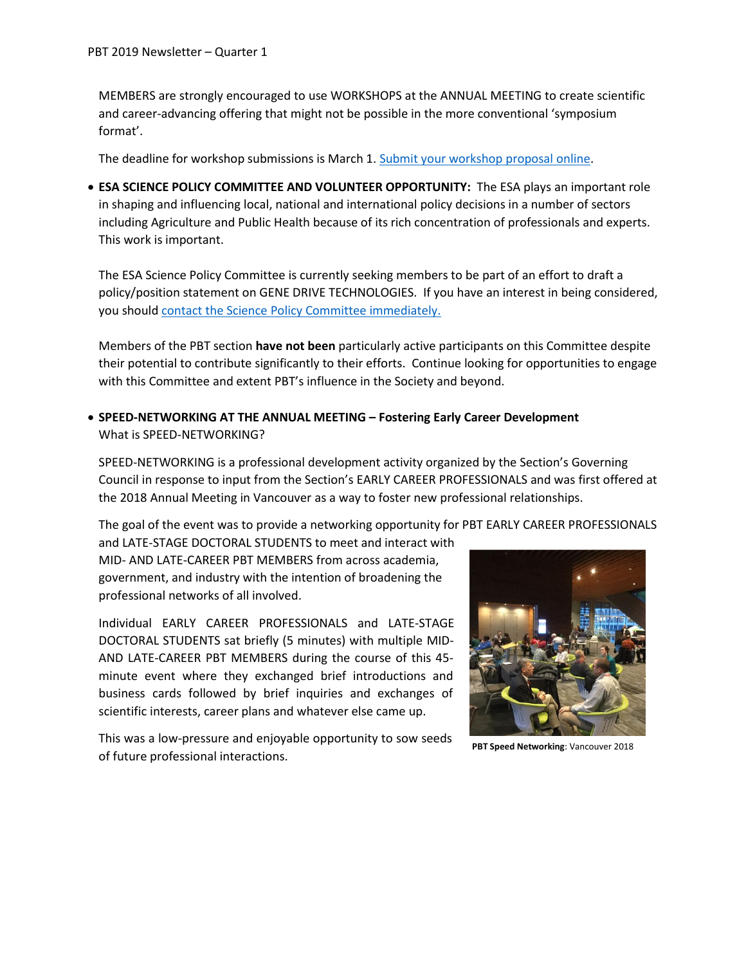MEMBERS are strongly encouraged to use WORKSHOPS at the ANNUAL MEETING to create scientific and career-advancing offering that might not be possible in the more conventional 'symposium format'.

The deadline for workshop submissions is March 1[. Submit your workshop proposal online.](https://www.entsoc.org/events/annual-meeting/submit)

 **ESA SCIENCE POLICY COMMITTEE AND VOLUNTEER OPPORTUNITY:** The ESA plays an important role in shaping and influencing local, national and international policy decisions in a number of sectors including Agriculture and Public Health because of its rich concentration of professionals and experts. This work is important.

The ESA Science Policy Committee is currently seeking members to be part of an effort to draft a policy/position statement on GENE DRIVE TECHNOLOGIES. If you have an interest in being considered, you shoul[d contact the Science Policy Committee immediately.](https://www.entsoc.org/resources/position_papers/writing-committee-GMO) 

Members of the PBT section **have not been** particularly active participants on this Committee despite their potential to contribute significantly to their efforts. Continue looking for opportunities to engage with this Committee and extent PBT's influence in the Society and beyond.

 **SPEED-NETWORKING AT THE ANNUAL MEETING – Fostering Early Career Development** What is SPEED-NETWORKING?

SPEED-NETWORKING is a professional development activity organized by the Section's Governing Council in response to input from the Section's EARLY CAREER PROFESSIONALS and was first offered at the 2018 Annual Meeting in Vancouver as a way to foster new professional relationships.

The goal of the event was to provide a networking opportunity for PBT EARLY CAREER PROFESSIONALS

and LATE-STAGE DOCTORAL STUDENTS to meet and interact with MID- AND LATE-CAREER PBT MEMBERS from across academia, government, and industry with the intention of broadening the professional networks of all involved.

Individual EARLY CAREER PROFESSIONALS and LATE-STAGE DOCTORAL STUDENTS sat briefly (5 minutes) with multiple MID-AND LATE-CAREER PBT MEMBERS during the course of this 45 minute event where they exchanged brief introductions and business cards followed by brief inquiries and exchanges of scientific interests, career plans and whatever else came up.

This was a low-pressure and enjoyable opportunity to sow seeds of future professional interactions.



**PBT Speed Networking**: Vancouver 2018